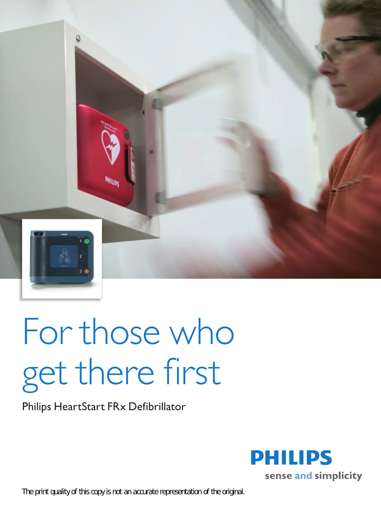

# For those who get there first

Philips HeartStart FRx Defibrillator

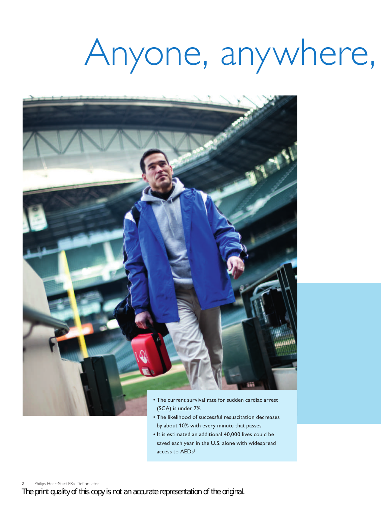## Anyone, anywhere,



- The current survival rate for sudden cardiac arrest (SCA) is under 7%
- The likelihood of successful resuscitation decreases by about 10% with every minute that passes
- It is estimated an additional 40,000 lives could be saved each year in the U.S. alone with widespread access to AEDs<sup>1</sup>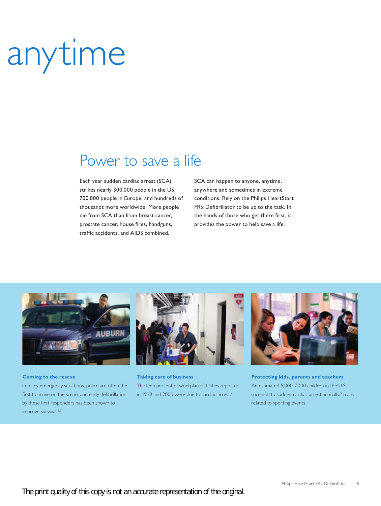# anytime

### Power to save a life

Each year sudden cardiac arrest (SCA) strikes nearly 300,000 people in the US, 700,000 people in Europe, and hundreds of thousands more worldwide. More people die from SCA than from breast cancer, prostate cancer, house fires, handguns, traffic accidents, and AIDS combined.

SCA can happen to anyone, anytime, anywhere and sometimes in extreme conditions. Rely on the Philips HeartStart FRx Defibrillator to be up to the task. In the hands of those who get there first, it provides the power to help save a life.



#### **Coming to the rescue**

In many emergency situations, police are often the first to arrive on the scene, and early defibrillation by these first responders has been shown to improve survival.<sup>2,3</sup>



**Taking care of business** Thirteen percent of workplace fatalities reported in 1999 and 2000 were due to cardiac arrest.<sup>4</sup>



**Protecting kids, parents and teachers** An estimated 5,000-7,000 children in the U.S. succumb to sudden cardiac arrest annually,<sup>5</sup> many related to sporting events.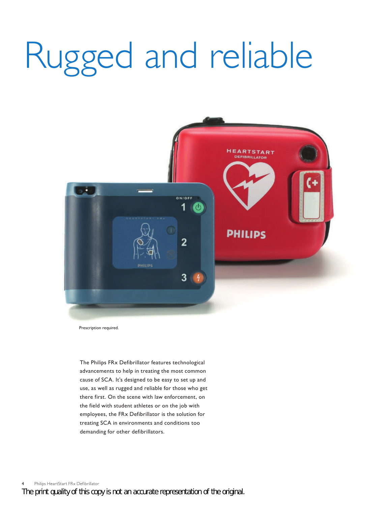# Rugged and reliable



Prescription required.

The Philips FRx Defibrillator features technological advancements to help in treating the most common cause of SCA. It's designed to be easy to set up and use, as well as rugged and reliable for those who get there first. On the scene with law enforcement, on the field with student athletes or on the job with employees, the FRx Defibrillator is the solution for treating SCA in environments and conditions too demanding for other defibrillators.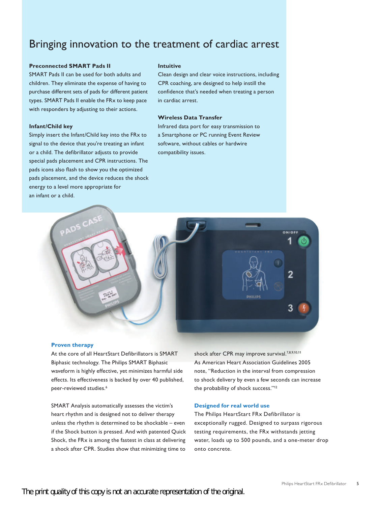### Bringing innovation to the treatment of cardiac arrest

#### **Preconnected SMART Pads II**

SMART Pads II can be used for both adults and children. They eliminate the expense of having to purchase different sets of pads for different patient types. SMART Pads II enable the FRx to keep pace with responders by adjusting to their actions.

#### **Infant/Child key**

Simply insert the Infant/Child key into the FRx to signal to the device that you're treating an infant or a child. The defibrillator adjusts to provide special pads placement and CPR instructions. The pads icons also flash to show you the optimized pads placement, and the device reduces the shock energy to a level more appropriate for an infant or a child.

#### **Intuitive**

Clean design and clear voice instructions, including CPR coaching, are designed to help instill the confidence that's needed when treating a person in cardiac arrest.

#### **Wireless Data Transfer**

Infrared data port for easy transmission to a Smartphone or PC running Event Review software, without cables or hardwire compatibility issues.



#### **Proven therapy**

At the core of all HeartStart Defibrillators is SMART Biphasic technology. The Philips SMART Biphasic waveform is highly effective, yet minimizes harmful side effects. Its effectiveness is backed by over 40 published, peer-reviewed studies.<sup>6</sup>

SMART Analysis automatically assesses the victim's heart rhythm and is designed not to deliver therapy unless the rhythm is determined to be shockable  $-$  even if the Shock button is pressed. And with patented Quick Shock, the FRx is among the fastest in class at delivering a shock after CPR. Studies show that minimizing time to

shock after CPR may improve survival.<sup>7,8,9,10,11</sup> As American Heart Association Guidelines 2005 note, "Reduction in the interval from compression to shock delivery by even a few seconds can increase the probability of shock success."<sup>12</sup>

#### **Designed for real world use**

The Philips HeartStart FRx Defibrillator is exceptionally rugged. Designed to surpass rigorous testing requirements, the FRx withstands jetting water, loads up to 500 pounds, and a one-meter drop onto concrete.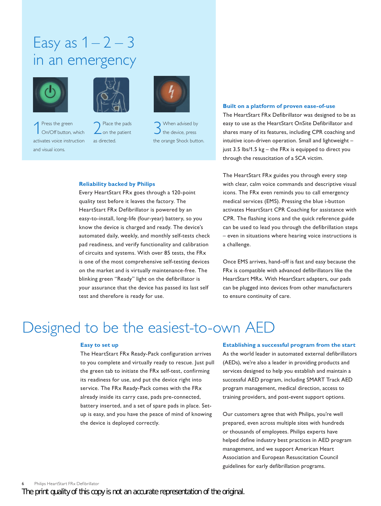### Easy as  $1-2-3$ in an emergency



Press the green<br>On/Off button, On/Off button, which activates voice instruction and visual icons.



2 Place the pads<br>
on the patient as directed.



3When advised by the device, press the orange Shock button.

#### **Reliability backed by Philips**

Every HeartStart FRx goes through a 120-point quality test before it leaves the factory. The HeartStart FRx Defibrillator is powered by an easy-to-install, long-life (four-year) battery, so you know the device is charged and ready. The device's automated daily, weekly, and monthly self-tests check pad readiness, and verify functionality and calibration of circuits and systems. With over 85 tests, the FRx is one of the most comprehensive self-testing devices on the market and is virtually maintenance-free. The blinking green "Ready" light on the defibrillator is your assurance that the device has passed its last self test and therefore is ready for use.

#### **Built on a platform of proven ease-of-use**

The HeartStart FRx Defibrillator was designed to be as easy to use as the HeartStart OnSite Defibrillator and shares many of its features, including CPR coaching and intuitive icon-driven operation. Small and lightweight  $$ just  $3.5$  lbs/ $1.5$  kg – the FRx is equipped to direct you through the resuscitation of a SCA victim.

The HeartStart FRx guides you through every step with clear, calm voice commands and descriptive visual icons. The FRx even reminds you to call emergency medical services (EMS). Pressing the blue i-button activates HeartStart CPR Coaching for assistance with CPR. The flashing icons and the quick reference guide can be used to lead you through the defibrillation steps – even in situations where hearing voice instructions is a challenge.

Once EMS arrives, hand-off is fast and easy because the  $FRx$  is compatible with advanced defibrillators like the HeartStart MRx. With HeartStart adapters, our pads can be plugged into devices from other manufacturers to ensure continuity of care.

### Designed to be the easiest-to-own AED

#### **Easy to set up**

The HeartStart FRx Ready-Pack configuration arrives to you complete and virtually ready to rescue. Just pull the green tab to initiate the FRx self-test, confirming its readiness for use, and put the device right into service. The FRx Ready-Pack comes with the FRx already inside its carry case, pads pre-connected, battery inserted, and a set of spare pads in place. Setup is easy, and you have the peace of mind of knowing the device is deployed correctly.

#### **Establishing a successful program from the start**

As the world leader in automated external defibrillators (AEDs), we're also a leader in providing products and services designed to help you establish and maintain a successful AED program, including SMART Track AED program management, medical direction, access to training providers, and post-event support options.

Our customers agree that with Philips, you're well prepared, even across multiple sites with hundreds or thousands of employees. Philips experts have helped define industry best practices in AED program management, and we support American Heart Association and European Resuscitation Council guidelines for early defibrillation programs.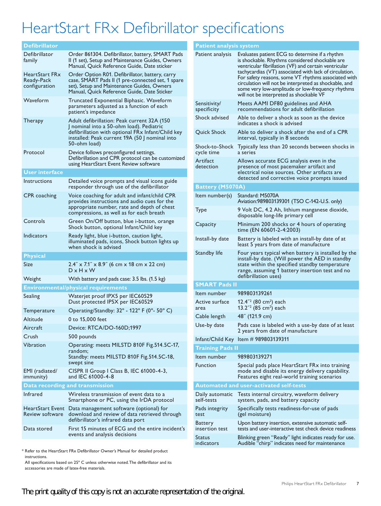## HeartStart FRx Defibrillator specifications

| <b>Defibrillator</b>                          |                                                                                                                                                                                                                 |  |
|-----------------------------------------------|-----------------------------------------------------------------------------------------------------------------------------------------------------------------------------------------------------------------|--|
| Defibrillator<br>family                       | Order 861304. Defibrillator, battery, SMART Pads<br>II (1 set), Setup and Maintenance Guides, Owners<br>Manual, Quick Reference Guide, Date sticker                                                             |  |
| HeartStart FRx<br>Ready-Pack<br>configuration | Order Option R01. Defibrillator, battery, carry<br>case, SMART Pads II (1 pre-connected set, 1 spare<br>set), Setup and Maintenance Guides, Owners<br>Manual, Quick Reference Guide, Date Sticker               |  |
| Waveform                                      | Truncated Exponential Biphasic. Waveform<br>parameters adjusted as a function of each<br>patient's impedance                                                                                                    |  |
| <b>Therapy</b>                                | Adult defibrillation: Peak current 32A (150)<br>J nominal into a 50-ohm load). Pediatric<br>defibrillation with optional FRx Infant/Child key<br>installed: Peak current 19A (50 J nominal into<br>50-ohm load) |  |
| Protocol                                      | Device follows preconfigured settings.<br>Defibrillation and CPR protocol can be customized<br>using HeartStart Event Review software                                                                           |  |
| <b>User interface</b>                         |                                                                                                                                                                                                                 |  |
| Instructions                                  | Detailed voice prompts and visual icons guide<br>responder through use of the defibrillator                                                                                                                     |  |
| CPR coaching                                  | Voice coaching for adult and infant/child CPR<br>provides instructions and audio cues for the<br>appropriate number, rate and depth of chest<br>compressions, as well as for each breath                        |  |
| Controls                                      | Green On/Off button, blue i-button, orange<br>Shock button, optional Infant/Child key                                                                                                                           |  |
| Indicators                                    | Ready light, blue i-button, caution light,<br>illuminated pads, icons, Shock button lights up<br>when shock is advised                                                                                          |  |
| <b>Physical</b>                               |                                                                                                                                                                                                                 |  |
| Size                                          | $2.4'' \times 7.1'' \times 8.9''$ (6 cm x 18 cm x 22 cm)<br>$D \times H \times W$                                                                                                                               |  |
| Weight                                        | With battery and pads case: 3.5 lbs. (1.5 kg)                                                                                                                                                                   |  |
| <b>Environmental/physical requirements</b>    |                                                                                                                                                                                                                 |  |
| Sealing                                       | Waterjet proof IPX5 per IEC60529<br>Dust protected IP5X per IEC60529                                                                                                                                            |  |
| lemperature                                   | Operating/Standby: 32° - 122° F (0°- 50° C)                                                                                                                                                                     |  |
| Altitude                                      | 0 to 15,000 feet                                                                                                                                                                                                |  |
| Aircraft                                      | Device: RTCA/DO-160D;1997                                                                                                                                                                                       |  |
| Crush                                         | 500 pounds                                                                                                                                                                                                      |  |
| Vibration                                     | Operating: meets MILSTD 810F Fig.514.5C-17,<br>random;<br>Standby: meets MILSTD 810F Fig.514.5C-18,<br>swept sine                                                                                               |  |
| EMI (radiated/<br>immunity)                   | CISPR II Group I Class B, IEC 61000-4-3,<br>and IEC 61000-4-8                                                                                                                                                   |  |
| Data recording and transmission               |                                                                                                                                                                                                                 |  |
| <b>Infrared</b>                               | Wireless transmission of event data to a<br>Smartphone or PC, using the IrDA protocol                                                                                                                           |  |
| Review software                               | HeartStart Event Data management software (optional) for<br>download and review of data retrieved through<br>defibrillator's infrared data port                                                                 |  |
| Data stored                                   | First 15 minutes of ECG and the entire incident's<br>events and analysis decisions                                                                                                                              |  |

 $*$  Refer to the HeartStart FRx Defibrillator Owner's Manual for detailed product instructions.

All specifications based on 25° C unless otherwise noted. The defibrillator and its accessories are made of latex-free materials.

|                         | <b>Patient analysis system</b>   |                                                                                                                                                                                                                                                                                                                                                                                                                                    |  |
|-------------------------|----------------------------------|------------------------------------------------------------------------------------------------------------------------------------------------------------------------------------------------------------------------------------------------------------------------------------------------------------------------------------------------------------------------------------------------------------------------------------|--|
|                         | Patient analysis                 | Evaluates patient ECG to determine if a rhythm<br>is shockable. Rhythms considered shockable are<br>ventricular fibrillation (VF) and certain ventricular<br>tachycardias (VT) associated with lack of circulation.<br>For safety reasons, some VT rhythms associated with<br>circulation will not be interpreted as shockable, and<br>some very low-amplitude or low-frequency rhythms<br>will not be interpreted as shockable VF |  |
|                         | Sensitivity/<br>specificity      | Meets AAMI DF80 guidelines and AHA<br>recommendations for adult defibrillation                                                                                                                                                                                                                                                                                                                                                     |  |
|                         | Shock advised                    | Able to deliver a shock as soon as the device<br>indicates a shock is advised                                                                                                                                                                                                                                                                                                                                                      |  |
|                         | Quick Shock                      | Able to deliver a shock after the end of a CPR<br>interval, typically in 8 seconds                                                                                                                                                                                                                                                                                                                                                 |  |
|                         | Shock-to-Shock<br>cycle time     | Typically less than 20 seconds between shocks in<br>a series                                                                                                                                                                                                                                                                                                                                                                       |  |
|                         | Artifact<br>detection            | Allows accurate ECG analysis even in the<br>presence of most pacemaker artifact and<br>electrical noise sources. Other artifacts are<br>detected and corrective voice prompts issued                                                                                                                                                                                                                                               |  |
|                         | Battery (M5070A)                 |                                                                                                                                                                                                                                                                                                                                                                                                                                    |  |
|                         | Item number(s)                   | Standard: M5070A<br>Aviation:989803139301 (TSO C-142-U.S. only)                                                                                                                                                                                                                                                                                                                                                                    |  |
|                         | <b>Type</b>                      | 9 Volt DC, 4.2 Ah, lithium manganese dioxide,<br>disposable long-life primary cell                                                                                                                                                                                                                                                                                                                                                 |  |
|                         | Capacity                         | Minimum 200 shocks or 4 hours of operating<br>time (EN 60601-2-4:2003)                                                                                                                                                                                                                                                                                                                                                             |  |
|                         | Install-by date                  | Battery is labeled with an install-by date of at<br>least 5 years from date of manufacture                                                                                                                                                                                                                                                                                                                                         |  |
|                         | Standby life                     | Four years typical when battery is installed by the<br>install-by date. (Will power the AED in standby<br>state within the specified standby temperature<br>range, assuming 1 battery insertion test and no<br>defibrillation uses)                                                                                                                                                                                                |  |
|                         | <b>SMART Pads II</b>             |                                                                                                                                                                                                                                                                                                                                                                                                                                    |  |
|                         | Item number                      | 989803139261                                                                                                                                                                                                                                                                                                                                                                                                                       |  |
|                         | Active surface<br>area           | $12.4^{2}$ (80 cm <sup>2</sup> ) each<br>13.2 $\frac{1}{2}$ (85 cm <sup>2</sup> ) each                                                                                                                                                                                                                                                                                                                                             |  |
|                         | Cable length                     | 48" (121.9 cm)                                                                                                                                                                                                                                                                                                                                                                                                                     |  |
|                         | Use-by date                      | Pads case is labeled with a use-by date of at least<br>2 years from date of manufacture                                                                                                                                                                                                                                                                                                                                            |  |
|                         |                                  | Infant/Child Key Item # 989803139311                                                                                                                                                                                                                                                                                                                                                                                               |  |
| <b>Training Pads II</b> |                                  |                                                                                                                                                                                                                                                                                                                                                                                                                                    |  |
|                         | Item number                      | 989803139271                                                                                                                                                                                                                                                                                                                                                                                                                       |  |
|                         | <b>Function</b>                  | Special pads place HeartStart FRx into training<br>mode and disable its energy delivery capability.<br>Features eight real-world training scenarios                                                                                                                                                                                                                                                                                |  |
|                         |                                  | <b>Automated and user-activated self-tests</b>                                                                                                                                                                                                                                                                                                                                                                                     |  |
|                         | Daily automatic<br>self-tests    | Tests internal circuitry, waveform delivery<br>system, pads, and battery capacity                                                                                                                                                                                                                                                                                                                                                  |  |
|                         | Pads integrity<br>test           | Specifically tests readiness-for-use of pads<br>(gel moisture)                                                                                                                                                                                                                                                                                                                                                                     |  |
|                         | <b>Battery</b><br>insertion test | Upon battery insertion, extensive automatic self-<br>tests and user-interactive test check device readiness                                                                                                                                                                                                                                                                                                                        |  |
|                         | Status<br>indicators             | Blinking green "Ready" light indicates ready for use.<br>Audible "chirp" indicates need for maintenance                                                                                                                                                                                                                                                                                                                            |  |
|                         |                                  |                                                                                                                                                                                                                                                                                                                                                                                                                                    |  |